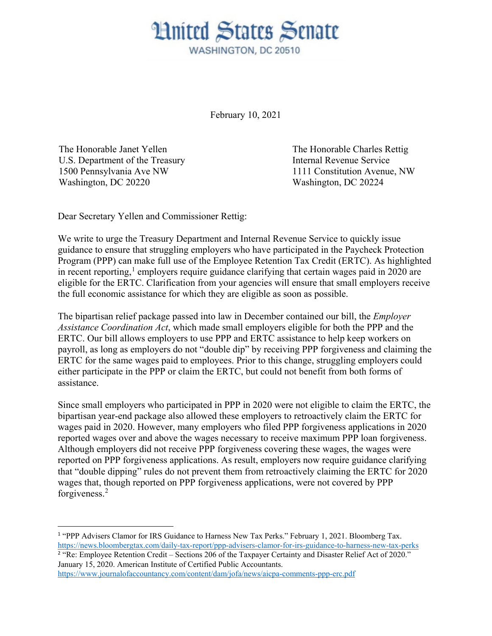## **Hnited States Senate** WASHINGTON, DC 20510

February 10, 2021

The Honorable Janet Yellen U.S. Department of the Treasury 1500 Pennsylvania Ave NW Washington, DC 20220

The Honorable Charles Rettig Internal Revenue Service 1111 Constitution Avenue, NW Washington, DC 20224

Dear Secretary Yellen and Commissioner Rettig:

We write to urge the Treasury Department and Internal Revenue Service to quickly issue guidance to ensure that struggling employers who have participated in the Paycheck Protection Program (PPP) can make full use of the Employee Retention Tax Credit (ERTC). As highlighted in recent reporting,<sup>[1](#page-0-0)</sup> employers require guidance clarifying that certain wages paid in 2020 are eligible for the ERTC. Clarification from your agencies will ensure that small employers receive the full economic assistance for which they are eligible as soon as possible.

The bipartisan relief package passed into law in December contained our bill, the *Employer Assistance Coordination Act*, which made small employers eligible for both the PPP and the ERTC. Our bill allows employers to use PPP and ERTC assistance to help keep workers on payroll, as long as employers do not "double dip" by receiving PPP forgiveness and claiming the ERTC for the same wages paid to employees. Prior to this change, struggling employers could either participate in the PPP or claim the ERTC, but could not benefit from both forms of assistance.

Since small employers who participated in PPP in 2020 were not eligible to claim the ERTC, the bipartisan year-end package also allowed these employers to retroactively claim the ERTC for wages paid in 2020. However, many employers who filed PPP forgiveness applications in 2020 reported wages over and above the wages necessary to receive maximum PPP loan forgiveness. Although employers did not receive PPP forgiveness covering these wages, the wages were reported on PPP forgiveness applications. As result, employers now require guidance clarifying that "double dipping" rules do not prevent them from retroactively claiming the ERTC for 2020 wages that, though reported on PPP forgiveness applications, were not covered by PPP forgiveness.[2](#page-0-1)

<span id="page-0-0"></span> $\overline{a}$ <sup>1</sup> "PPP Advisers Clamor for IRS Guidance to Harness New Tax Perks." February 1, 2021. Bloomberg Tax. <https://news.bloombergtax.com/daily-tax-report/ppp-advisers-clamor-for-irs-guidance-to-harness-new-tax-perks> <sup>2</sup> "Re: Employee Retention Credit – Sections 206 of the Taxpayer Certainty and Disaster Relief Act of 2020." January 15, 2020. American Institute of Certified Public Accountants.

<span id="page-0-1"></span><https://www.journalofaccountancy.com/content/dam/jofa/news/aicpa-comments-ppp-erc.pdf>